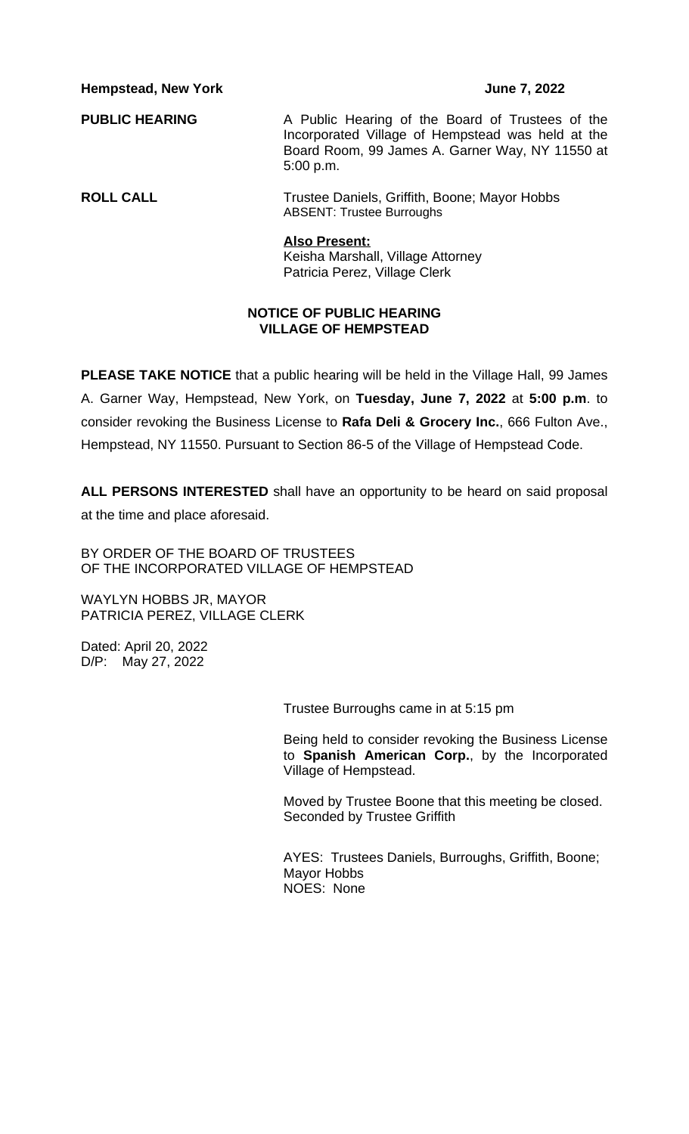**PUBLIC HEARING** A Public Hearing of the Board of Trustees of the Incorporated Village of Hempstead was held at the Board Room, 99 James A. Garner Way, NY 11550 at 5:00 p.m.

**ROLL CALL** Trustee Daniels, Griffith, Boone; Mayor Hobbs ABSENT: Trustee Burroughs

#### **Also Present:**

Keisha Marshall, Village Attorney Patricia Perez, Village Clerk

#### **NOTICE OF PUBLIC HEARING VILLAGE OF HEMPSTEAD**

**PLEASE TAKE NOTICE** that a public hearing will be held in the Village Hall, 99 James A. Garner Way, Hempstead, New York, on **Tuesday, June 7, 2022** at **5:00 p.m**. to consider revoking the Business License to **Rafa Deli & Grocery Inc.**, 666 Fulton Ave., Hempstead, NY 11550. Pursuant to Section 86-5 of the Village of Hempstead Code.

**ALL PERSONS INTERESTED** shall have an opportunity to be heard on said proposal at the time and place aforesaid.

BY ORDER OF THE BOARD OF TRUSTEES OF THE INCORPORATED VILLAGE OF HEMPSTEAD

WAYLYN HOBBS JR, MAYOR PATRICIA PEREZ, VILLAGE CLERK

Dated: April 20, 2022 D/P: May 27, 2022

Trustee Burroughs came in at 5:15 pm

Being held to consider revoking the Business License to **Spanish American Corp.**, by the Incorporated Village of Hempstead.

Moved by Trustee Boone that this meeting be closed. Seconded by Trustee Griffith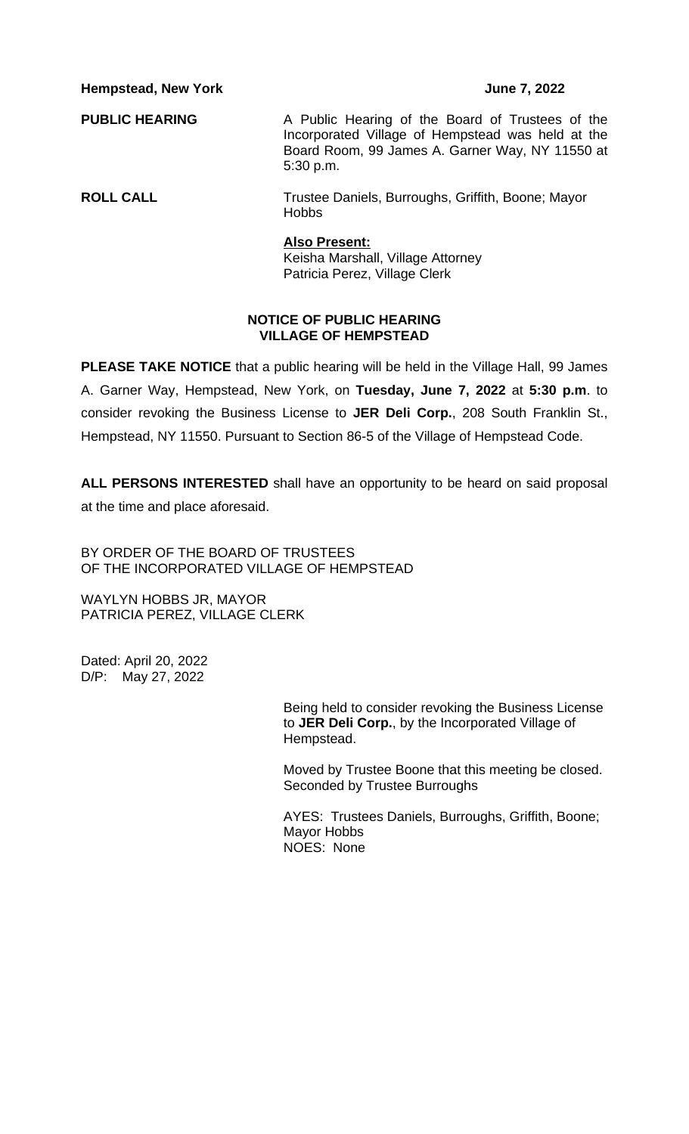**PUBLIC HEARING** A Public Hearing of the Board of Trustees of the Incorporated Village of Hempstead was held at the Board Room, 99 James A. Garner Way, NY 11550 at 5:30 p.m.

**ROLL CALL** Trustee Daniels, Burroughs, Griffith, Boone; Mayor Hobbs

#### **Also Present:**

Keisha Marshall, Village Attorney Patricia Perez, Village Clerk

### **NOTICE OF PUBLIC HEARING VILLAGE OF HEMPSTEAD**

**PLEASE TAKE NOTICE** that a public hearing will be held in the Village Hall, 99 James A. Garner Way, Hempstead, New York, on **Tuesday, June 7, 2022** at **5:30 p.m**. to consider revoking the Business License to **JER Deli Corp.**, 208 South Franklin St., Hempstead, NY 11550. Pursuant to Section 86-5 of the Village of Hempstead Code.

**ALL PERSONS INTERESTED** shall have an opportunity to be heard on said proposal at the time and place aforesaid.

BY ORDER OF THE BOARD OF TRUSTEES OF THE INCORPORATED VILLAGE OF HEMPSTEAD

WAYLYN HOBBS JR, MAYOR PATRICIA PEREZ, VILLAGE CLERK

Dated: April 20, 2022 D/P: May 27, 2022

> Being held to consider revoking the Business License to **JER Deli Corp.**, by the Incorporated Village of Hempstead.

> Moved by Trustee Boone that this meeting be closed. Seconded by Trustee Burroughs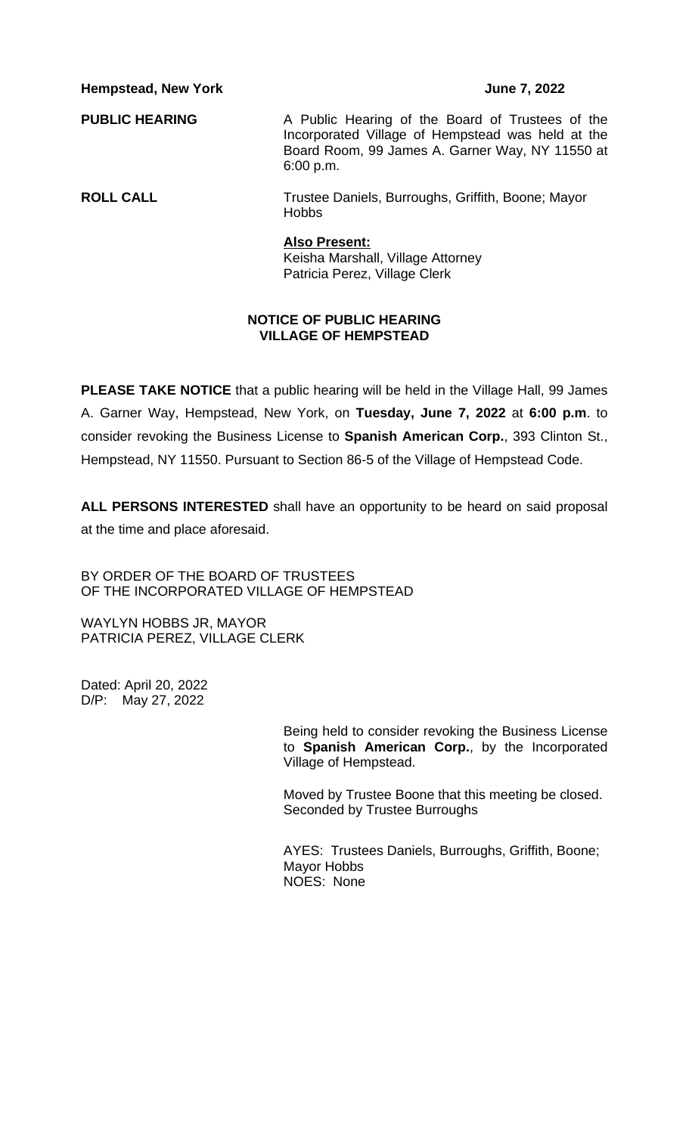**PUBLIC HEARING** A Public Hearing of the Board of Trustees of the Incorporated Village of Hempstead was held at the Board Room, 99 James A. Garner Way, NY 11550 at 6:00 p.m.

**ROLL CALL** Trustee Daniels, Burroughs, Griffith, Boone; Mayor Hobbs

> **Also Present:** Keisha Marshall, Village Attorney Patricia Perez, Village Clerk

# **NOTICE OF PUBLIC HEARING VILLAGE OF HEMPSTEAD**

**PLEASE TAKE NOTICE** that a public hearing will be held in the Village Hall, 99 James A. Garner Way, Hempstead, New York, on **Tuesday, June 7, 2022** at **6:00 p.m**. to consider revoking the Business License to **Spanish American Corp.**, 393 Clinton St., Hempstead, NY 11550. Pursuant to Section 86-5 of the Village of Hempstead Code.

**ALL PERSONS INTERESTED** shall have an opportunity to be heard on said proposal at the time and place aforesaid.

BY ORDER OF THE BOARD OF TRUSTEES OF THE INCORPORATED VILLAGE OF HEMPSTEAD

WAYLYN HOBBS JR, MAYOR PATRICIA PEREZ, VILLAGE CLERK

Dated: April 20, 2022 D/P: May 27, 2022

> Being held to consider revoking the Business License to **Spanish American Corp.**, by the Incorporated Village of Hempstead.

Moved by Trustee Boone that this meeting be closed. Seconded by Trustee Burroughs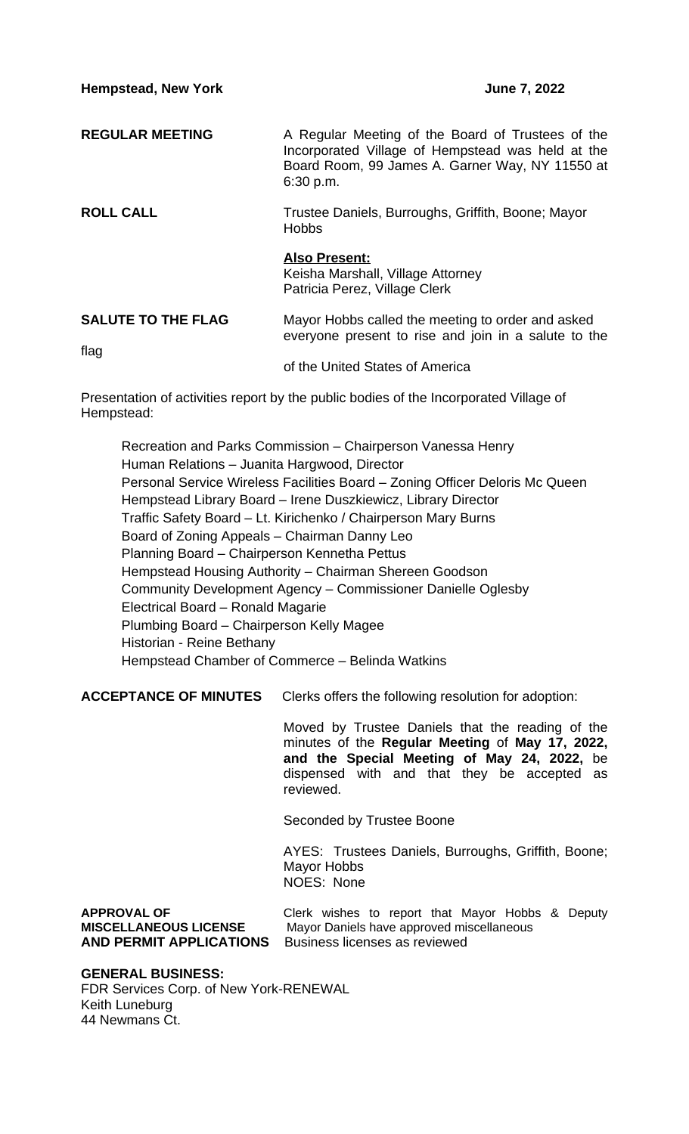**REGULAR MEETING** A Regular Meeting of the Board of Trustees of the Incorporated Village of Hempstead was held at the Board Room, 99 James A. Garner Way, NY 11550 at 6:30 p.m. **ROLL CALL** Trustee Daniels, Burroughs, Griffith, Boone; Mayor **Hobbs** 

> **Also Present:** Keisha Marshall, Village Attorney Patricia Perez, Village Clerk

### **SALUTE TO THE FLAG** Mayor Hobbs called the meeting to order and asked everyone present to rise and join in a salute to the flag

of the United States of America

Presentation of activities report by the public bodies of the Incorporated Village of Hempstead:

Recreation and Parks Commission – Chairperson Vanessa Henry Human Relations – Juanita Hargwood, Director Personal Service Wireless Facilities Board – Zoning Officer Deloris Mc Queen Hempstead Library Board – Irene Duszkiewicz, Library Director Traffic Safety Board – Lt. Kirichenko / Chairperson Mary Burns Board of Zoning Appeals – Chairman Danny Leo Planning Board – Chairperson Kennetha Pettus Hempstead Housing Authority – Chairman Shereen Goodson Community Development Agency – Commissioner Danielle Oglesby Electrical Board – Ronald Magarie Plumbing Board – Chairperson Kelly Magee Historian - Reine Bethany Hempstead Chamber of Commerce – Belinda Watkins

**ACCEPTANCE OF MINUTES** Clerks offers the following resolution for adoption:

Moved by Trustee Daniels that the reading of the minutes of the **Regular Meeting** of **May 17, 2022, and the Special Meeting of May 24, 2022,** be dispensed with and that they be accepted as reviewed.

Seconded by Trustee Boone

AYES: Trustees Daniels, Burroughs, Griffith, Boone; Mayor Hobbs NOES: None

**APPROVAL OF** Clerk wishes to report that Mayor Hobbs & Deputy **MISCELLANEOUS LICENSE** Mayor Daniels have approved miscellaneous **AND PERMIT APPLICATIONS** Business licenses as reviewed

### **GENERAL BUSINESS:**

FDR Services Corp. of New York-RENEWAL Keith Luneburg 44 Newmans Ct.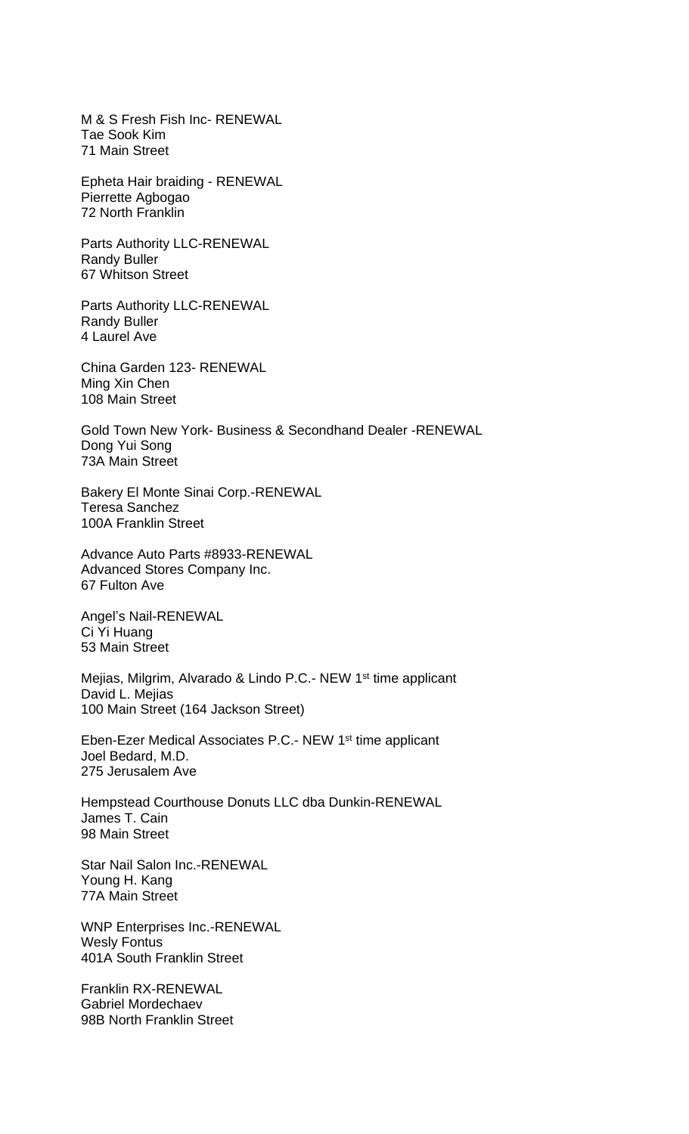M & S Fresh Fish Inc- RENEWAL Tae Sook Kim 71 Main Street

Epheta Hair braiding - RENEWAL Pierrette Agbogao 72 North Franklin

Parts Authority LLC-RENEWAL Randy Buller 67 Whitson Street

Parts Authority LLC-RENEWAL Randy Buller 4 Laurel Ave

China Garden 123- RENEWAL Ming Xin Chen 108 Main Street

Gold Town New York- Business & Secondhand Dealer -RENEWAL Dong Yui Song 73A Main Street

Bakery El Monte Sinai Corp.-RENEWAL Teresa Sanchez 100A Franklin Street

Advance Auto Parts #8933-RENEWAL Advanced Stores Company Inc. 67 Fulton Ave

Angel's Nail-RENEWAL Ci Yi Huang 53 Main Street

Mejias, Milgrim, Alvarado & Lindo P.C.- NEW 1st time applicant David L. Mejias 100 Main Street (164 Jackson Street)

Eben-Ezer Medical Associates P.C.- NEW 1st time applicant Joel Bedard, M.D. 275 Jerusalem Ave

Hempstead Courthouse Donuts LLC dba Dunkin-RENEWAL James T. Cain 98 Main Street

Star Nail Salon Inc.-RENEWAL Young H. Kang 77A Main Street

WNP Enterprises Inc.-RENEWAL Wesly Fontus 401A South Franklin Street

Franklin RX-RENEWAL Gabriel Mordechaev 98B North Franklin Street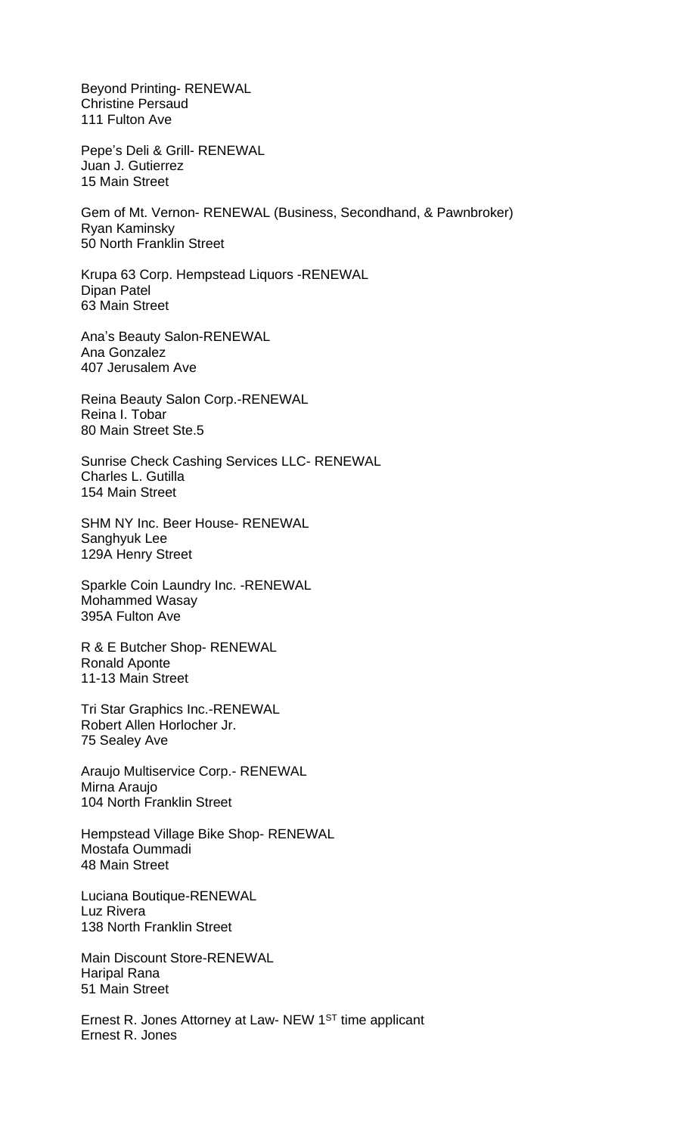Beyond Printing- RENEWAL Christine Persaud 111 Fulton Ave

Pepe's Deli & Grill- RENEWAL Juan J. Gutierrez 15 Main Street

Gem of Mt. Vernon- RENEWAL (Business, Secondhand, & Pawnbroker) Ryan Kaminsky 50 North Franklin Street

Krupa 63 Corp. Hempstead Liquors -RENEWAL Dipan Patel 63 Main Street

Ana's Beauty Salon-RENEWAL Ana Gonzalez 407 Jerusalem Ave

Reina Beauty Salon Corp.-RENEWAL Reina I. Tobar 80 Main Street Ste.5

Sunrise Check Cashing Services LLC- RENEWAL Charles L. Gutilla 154 Main Street

SHM NY Inc. Beer House- RENEWAL Sanghyuk Lee 129A Henry Street

Sparkle Coin Laundry Inc. -RENEWAL Mohammed Wasay 395A Fulton Ave

R & E Butcher Shop- RENEWAL Ronald Aponte 11-13 Main Street

Tri Star Graphics Inc.-RENEWAL Robert Allen Horlocher Jr. 75 Sealey Ave

Araujo Multiservice Corp.- RENEWAL Mirna Araujo 104 North Franklin Street

Hempstead Village Bike Shop- RENEWAL Mostafa Oummadi 48 Main Street

Luciana Boutique-RENEWAL Luz Rivera 138 North Franklin Street

Main Discount Store-RENEWAL Haripal Rana 51 Main Street

Ernest R. Jones Attorney at Law- NEW 1ST time applicant Ernest R. Jones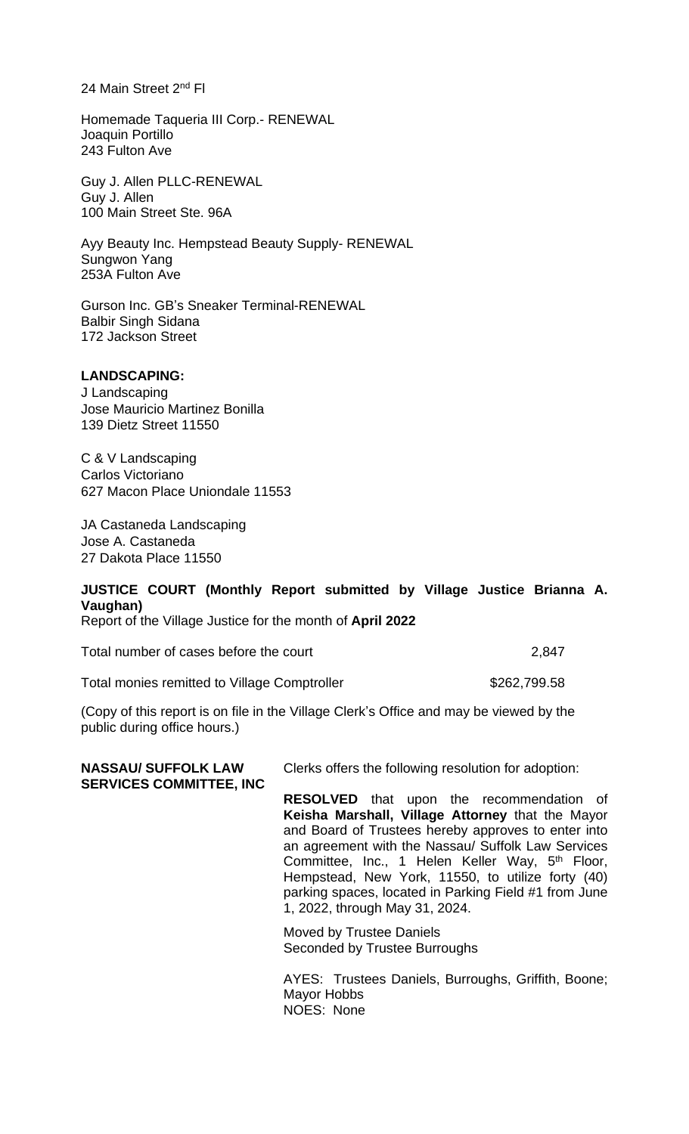24 Main Street 2<sup>nd</sup> Fl

Homemade Taqueria III Corp.- RENEWAL Joaquin Portillo 243 Fulton Ave

Guy J. Allen PLLC-RENEWAL Guy J. Allen 100 Main Street Ste. 96A

Ayy Beauty Inc. Hempstead Beauty Supply- RENEWAL Sungwon Yang 253A Fulton Ave

Gurson Inc. GB's Sneaker Terminal-RENEWAL Balbir Singh Sidana 172 Jackson Street

### **LANDSCAPING:**

J Landscaping Jose Mauricio Martinez Bonilla 139 Dietz Street 11550

C & V Landscaping Carlos Victoriano 627 Macon Place Uniondale 11553

JA Castaneda Landscaping Jose A. Castaneda 27 Dakota Place 11550

# **JUSTICE COURT (Monthly Report submitted by Village Justice Brianna A. Vaughan)**

Report of the Village Justice for the month of **April 2022**

Total number of cases before the court 2,847

Total monies remitted to Village Comptroller **\$262,799.58** 

(Copy of this report is on file in the Village Clerk's Office and may be viewed by the public during office hours.)

| <b>NASSAU/ SUFFOLK LAW</b><br><b>SERVICES COMMITTEE, INC</b> | Clerks offers the following resolution for adoption:                                                                                                                                                                                                                                                                                                                                                                            |  |  |
|--------------------------------------------------------------|---------------------------------------------------------------------------------------------------------------------------------------------------------------------------------------------------------------------------------------------------------------------------------------------------------------------------------------------------------------------------------------------------------------------------------|--|--|
|                                                              | <b>RESOLVED</b> that upon the recommendation of<br>Keisha Marshall, Village Attorney that the Mayor<br>and Board of Trustees hereby approves to enter into<br>an agreement with the Nassau/ Suffolk Law Services<br>Committee, Inc., 1 Helen Keller Way, 5 <sup>th</sup> Floor,<br>Hempstead, New York, 11550, to utilize forty (40)<br>parking spaces, located in Parking Field #1 from June<br>1, 2022, through May 31, 2024. |  |  |
|                                                              | Moved by Trustee Daniels<br>Seconded by Trustee Burroughs                                                                                                                                                                                                                                                                                                                                                                       |  |  |
|                                                              | AYES: Trustees Daniels, Burroughs, Griffith, Boone;                                                                                                                                                                                                                                                                                                                                                                             |  |  |

Mayor Hobbs NOES: None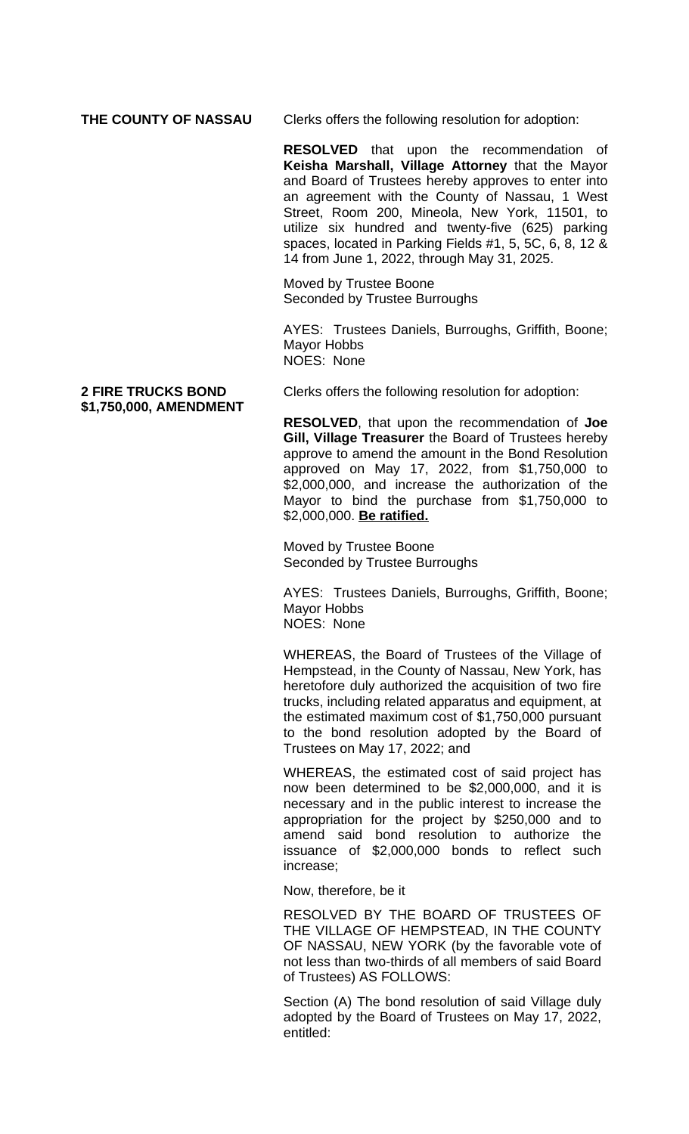**THE COUNTY OF NASSAU** Clerks offers the following resolution for adoption:

**RESOLVED** that upon the recommendation of **Keisha Marshall, Village Attorney** that the Mayor and Board of Trustees hereby approves to enter into an agreement with the County of Nassau, 1 West Street, Room 200, Mineola, New York, 11501, to utilize six hundred and twenty-five (625) parking spaces, located in Parking Fields #1, 5, 5C, 6, 8, 12 & 14 from June 1, 2022, through May 31, 2025.

Moved by Trustee Boone Seconded by Trustee Burroughs

AYES: Trustees Daniels, Burroughs, Griffith, Boone; Mayor Hobbs NOES: None

**\$1,750,000, AMENDMENT**

**2 FIRE TRUCKS BOND** Clerks offers the following resolution for adoption:

**RESOLVED**, that upon the recommendation of **Joe Gill, Village Treasurer** the Board of Trustees hereby approve to amend the amount in the Bond Resolution approved on May 17, 2022, from \$1,750,000 to \$2,000,000, and increase the authorization of the Mayor to bind the purchase from \$1,750,000 to \$2,000,000. **Be ratified.**

Moved by Trustee Boone Seconded by Trustee Burroughs

AYES: Trustees Daniels, Burroughs, Griffith, Boone; Mayor Hobbs NOES: None

WHEREAS, the Board of Trustees of the Village of Hempstead, in the County of Nassau, New York, has heretofore duly authorized the acquisition of two fire trucks, including related apparatus and equipment, at the estimated maximum cost of \$1,750,000 pursuant to the bond resolution adopted by the Board of Trustees on May 17, 2022; and

WHEREAS, the estimated cost of said project has now been determined to be \$2,000,000, and it is necessary and in the public interest to increase the appropriation for the project by \$250,000 and to amend said bond resolution to authorize the issuance of \$2,000,000 bonds to reflect such increase;

Now, therefore, be it

RESOLVED BY THE BOARD OF TRUSTEES OF THE VILLAGE OF HEMPSTEAD, IN THE COUNTY OF NASSAU, NEW YORK (by the favorable vote of not less than two-thirds of all members of said Board of Trustees) AS FOLLOWS:

Section (A) The bond resolution of said Village duly adopted by the Board of Trustees on May 17, 2022, entitled: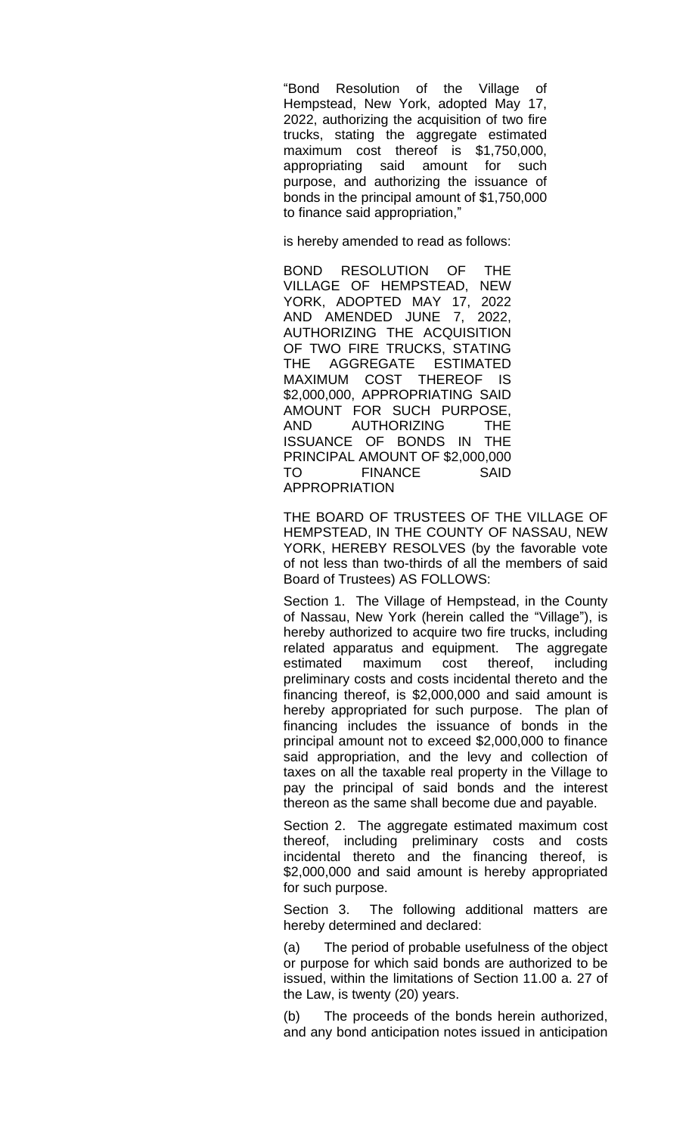"Bond Resolution of the Village of Hempstead, New York, adopted May 17, 2022, authorizing the acquisition of two fire trucks, stating the aggregate estimated maximum cost thereof is \$1,750,000, appropriating said amount for such purpose, and authorizing the issuance of bonds in the principal amount of \$1,750,000 to finance said appropriation,"

is hereby amended to read as follows:

BOND RESOLUTION OF THE VILLAGE OF HEMPSTEAD, NEW YORK, ADOPTED MAY 17, 2022 AND AMENDED JUNE 7, 2022, AUTHORIZING THE ACQUISITION OF TWO FIRE TRUCKS, STATING THE AGGREGATE ESTIMATED MAXIMUM COST THEREOF IS \$2,000,000, APPROPRIATING SAID AMOUNT FOR SUCH PURPOSE, AND AUTHORIZING THE ISSUANCE OF BONDS IN THE PRINCIPAL AMOUNT OF \$2,000,000 TO FINANCE SAID APPROPRIATION

THE BOARD OF TRUSTEES OF THE VILLAGE OF HEMPSTEAD, IN THE COUNTY OF NASSAU, NEW YORK, HEREBY RESOLVES (by the favorable vote of not less than two-thirds of all the members of said Board of Trustees) AS FOLLOWS:

Section 1. The Village of Hempstead, in the County of Nassau, New York (herein called the "Village"), is hereby authorized to acquire two fire trucks, including related apparatus and equipment. The aggregate estimated maximum cost thereof, including preliminary costs and costs incidental thereto and the financing thereof, is \$2,000,000 and said amount is hereby appropriated for such purpose. The plan of financing includes the issuance of bonds in the principal amount not to exceed \$2,000,000 to finance said appropriation, and the levy and collection of taxes on all the taxable real property in the Village to pay the principal of said bonds and the interest thereon as the same shall become due and payable.

Section 2. The aggregate estimated maximum cost thereof, including preliminary costs and costs incidental thereto and the financing thereof, is \$2,000,000 and said amount is hereby appropriated for such purpose.

Section 3. The following additional matters are hereby determined and declared:

(a) The period of probable usefulness of the object or purpose for which said bonds are authorized to be issued, within the limitations of Section 11.00 a. 27 of the Law, is twenty (20) years.

The proceeds of the bonds herein authorized, and any bond anticipation notes issued in anticipation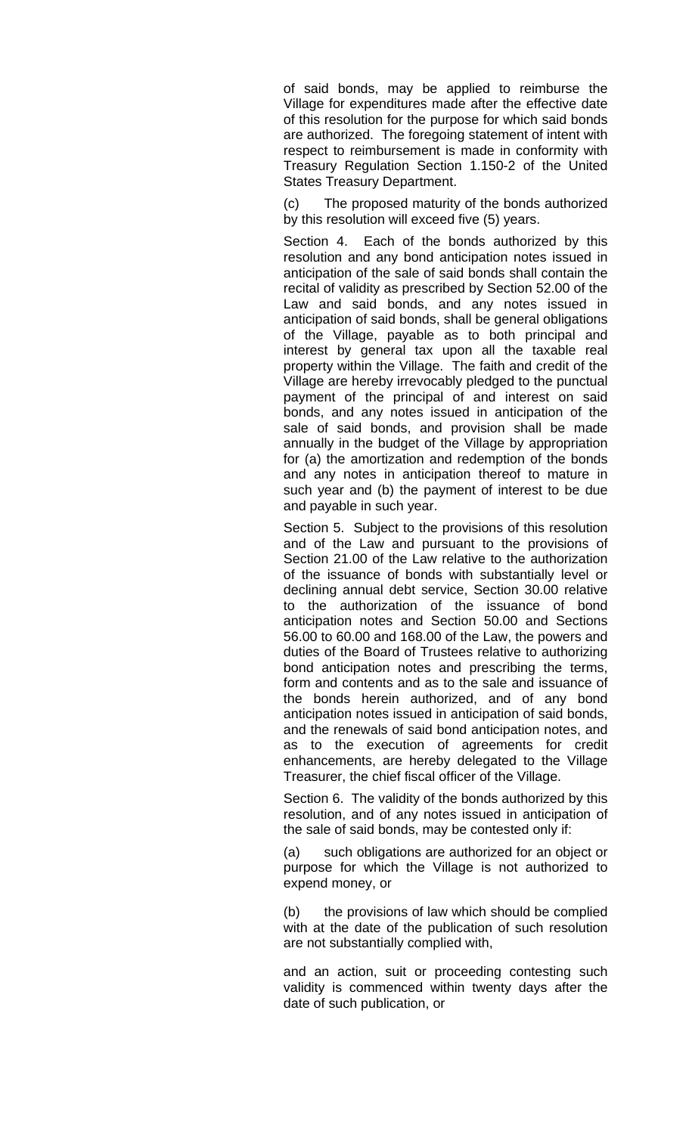of said bonds, may be applied to reimburse the Village for expenditures made after the effective date of this resolution for the purpose for which said bonds are authorized. The foregoing statement of intent with respect to reimbursement is made in conformity with Treasury Regulation Section 1.150-2 of the United States Treasury Department.

(c) The proposed maturity of the bonds authorized by this resolution will exceed five (5) years.

Section 4. Each of the bonds authorized by this resolution and any bond anticipation notes issued in anticipation of the sale of said bonds shall contain the recital of validity as prescribed by Section 52.00 of the Law and said bonds, and any notes issued in anticipation of said bonds, shall be general obligations of the Village, payable as to both principal and interest by general tax upon all the taxable real property within the Village. The faith and credit of the Village are hereby irrevocably pledged to the punctual payment of the principal of and interest on said bonds, and any notes issued in anticipation of the sale of said bonds, and provision shall be made annually in the budget of the Village by appropriation for (a) the amortization and redemption of the bonds and any notes in anticipation thereof to mature in such year and (b) the payment of interest to be due and payable in such year.

Section 5. Subject to the provisions of this resolution and of the Law and pursuant to the provisions of Section 21.00 of the Law relative to the authorization of the issuance of bonds with substantially level or declining annual debt service, Section 30.00 relative to the authorization of the issuance of bond anticipation notes and Section 50.00 and Sections 56.00 to 60.00 and 168.00 of the Law, the powers and duties of the Board of Trustees relative to authorizing bond anticipation notes and prescribing the terms, form and contents and as to the sale and issuance of the bonds herein authorized, and of any bond anticipation notes issued in anticipation of said bonds, and the renewals of said bond anticipation notes, and as to the execution of agreements for credit enhancements, are hereby delegated to the Village Treasurer, the chief fiscal officer of the Village.

Section 6. The validity of the bonds authorized by this resolution, and of any notes issued in anticipation of the sale of said bonds, may be contested only if:

(a) such obligations are authorized for an object or purpose for which the Village is not authorized to expend money, or

(b) the provisions of law which should be complied with at the date of the publication of such resolution are not substantially complied with,

and an action, suit or proceeding contesting such validity is commenced within twenty days after the date of such publication, or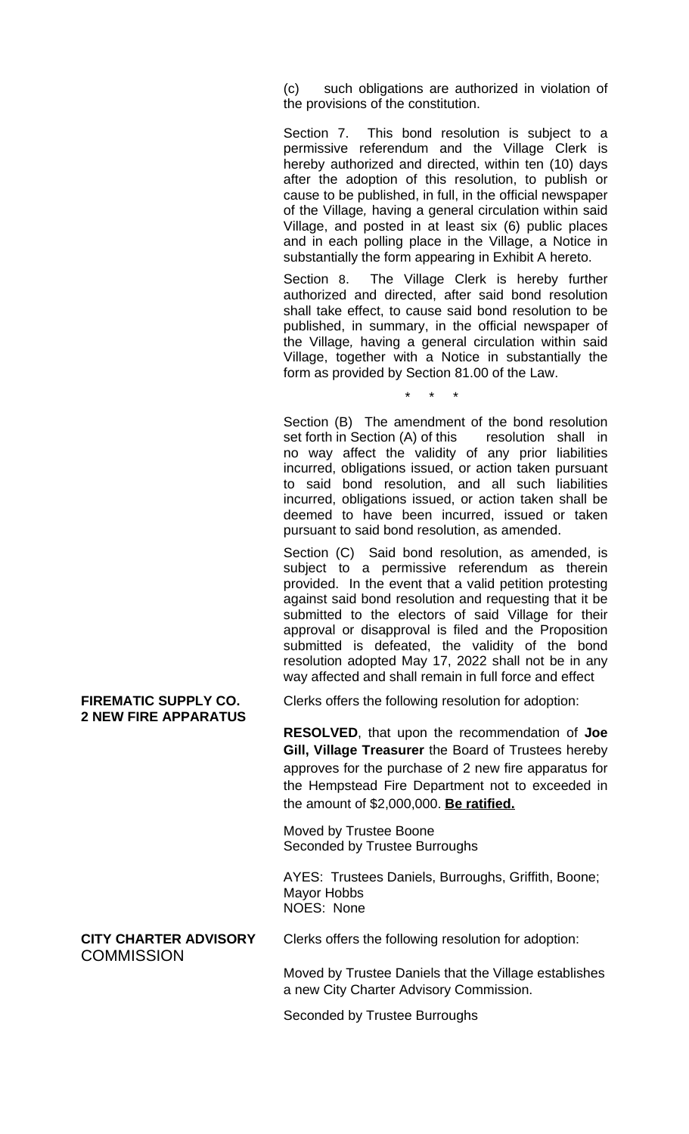(c) such obligations are authorized in violation of the provisions of the constitution.

Section 7. This bond resolution is subject to a permissive referendum and the Village Clerk is hereby authorized and directed, within ten (10) days after the adoption of this resolution, to publish or cause to be published, in full, in the official newspaper of the Village*,* having a general circulation within said Village, and posted in at least six (6) public places and in each polling place in the Village, a Notice in substantially the form appearing in Exhibit A hereto.

Section 8. The Village Clerk is hereby further authorized and directed, after said bond resolution shall take effect, to cause said bond resolution to be published, in summary, in the official newspaper of the Village*,* having a general circulation within said Village, together with a Notice in substantially the form as provided by Section 81.00 of the Law.

\* \* \*

Section (B) The amendment of the bond resolution set forth in Section (A) of this resolution shall in no way affect the validity of any prior liabilities incurred, obligations issued, or action taken pursuant to said bond resolution, and all such liabilities incurred, obligations issued, or action taken shall be deemed to have been incurred, issued or taken pursuant to said bond resolution, as amended.

Section (C) Said bond resolution, as amended, is subject to a permissive referendum as therein provided. In the event that a valid petition protesting against said bond resolution and requesting that it be submitted to the electors of said Village for their approval or disapproval is filed and the Proposition submitted is defeated, the validity of the bond resolution adopted May 17, 2022 shall not be in any way affected and shall remain in full force and effect

# **2 NEW FIRE APPARATUS**

**FIREMATIC SUPPLY CO.** Clerks offers the following resolution for adoption:

**RESOLVED**, that upon the recommendation of **Joe Gill, Village Treasurer** the Board of Trustees hereby approves for the purchase of 2 new fire apparatus for the Hempstead Fire Department not to exceeded in the amount of \$2,000,000. **Be ratified.**

Moved by Trustee Boone Seconded by Trustee Burroughs

AYES: Trustees Daniels, Burroughs, Griffith, Boone; Mayor Hobbs NOES: None

**COMMISSION** 

**CITY CHARTER ADVISORY** Clerks offers the following resolution for adoption:

Moved by Trustee Daniels that the Village establishes a new City Charter Advisory Commission.

Seconded by Trustee Burroughs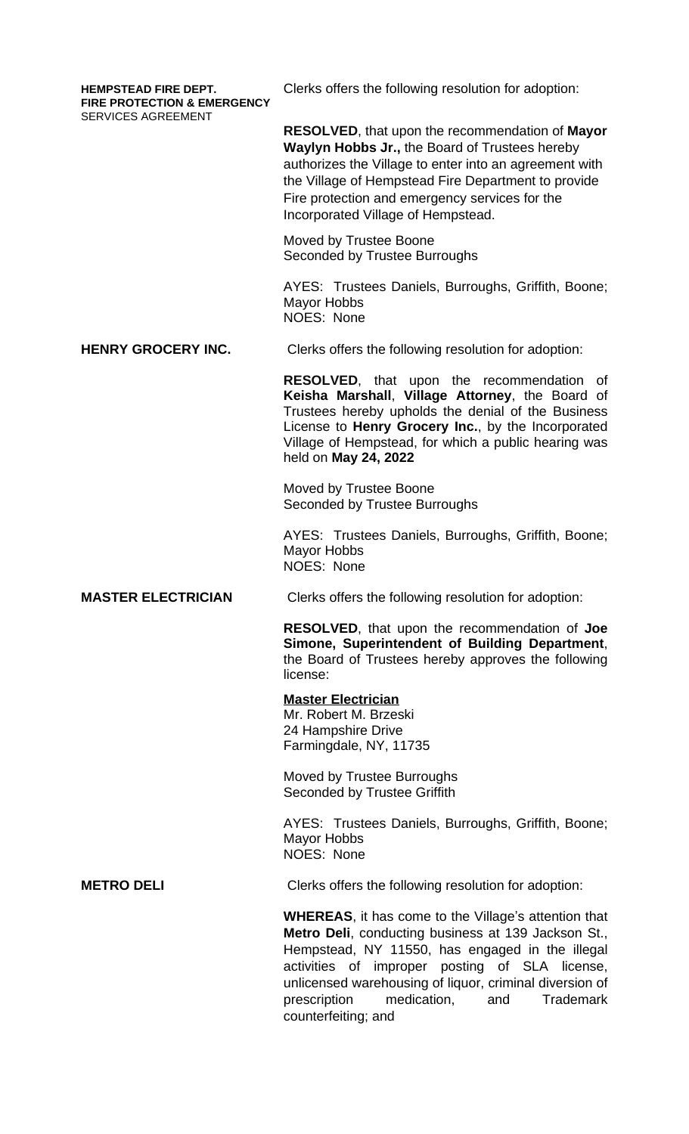**FIRE PROTECTION & EMERGENCY** SERVICES AGREEMENT

**HEMPSTEAD FIRE DEPT.** Clerks offers the following resolution for adoption:

**RESOLVED**, that upon the recommendation of **Mayor Waylyn Hobbs Jr.,** the Board of Trustees hereby authorizes the Village to enter into an agreement with the Village of Hempstead Fire Department to provide Fire protection and emergency services for the Incorporated Village of Hempstead.

Moved by Trustee Boone Seconded by Trustee Burroughs

AYES: Trustees Daniels, Burroughs, Griffith, Boone; Mayor Hobbs NOES: None

**HENRY GROCERY INC.** Clerks offers the following resolution for adoption:

**RESOLVED**, that upon the recommendation of **Keisha Marshall**, **Village Attorney**, the Board of Trustees hereby upholds the denial of the Business License to **Henry Grocery Inc.**, by the Incorporated Village of Hempstead, for which a public hearing was held on **May 24, 2022**

Moved by Trustee Boone Seconded by Trustee Burroughs

AYES: Trustees Daniels, Burroughs, Griffith, Boone; Mayor Hobbs NOES: None

**MASTER ELECTRICIAN** Clerks offers the following resolution for adoption:

**RESOLVED**, that upon the recommendation of **Joe Simone, Superintendent of Building Department**, the Board of Trustees hereby approves the following license:

### **Master Electrician**

Mr. Robert M. Brzeski 24 Hampshire Drive Farmingdale, NY, 11735

Moved by Trustee Burroughs Seconded by Trustee Griffith

AYES: Trustees Daniels, Burroughs, Griffith, Boone; Mayor Hobbs NOES: None

**METRO DELI** Clerks offers the following resolution for adoption:

**WHEREAS**, it has come to the Village's attention that **Metro Deli**, conducting business at 139 Jackson St., Hempstead, NY 11550, has engaged in the illegal activities of improper posting of SLA license, unlicensed warehousing of liquor, criminal diversion of prescription medication, and Trademark counterfeiting; and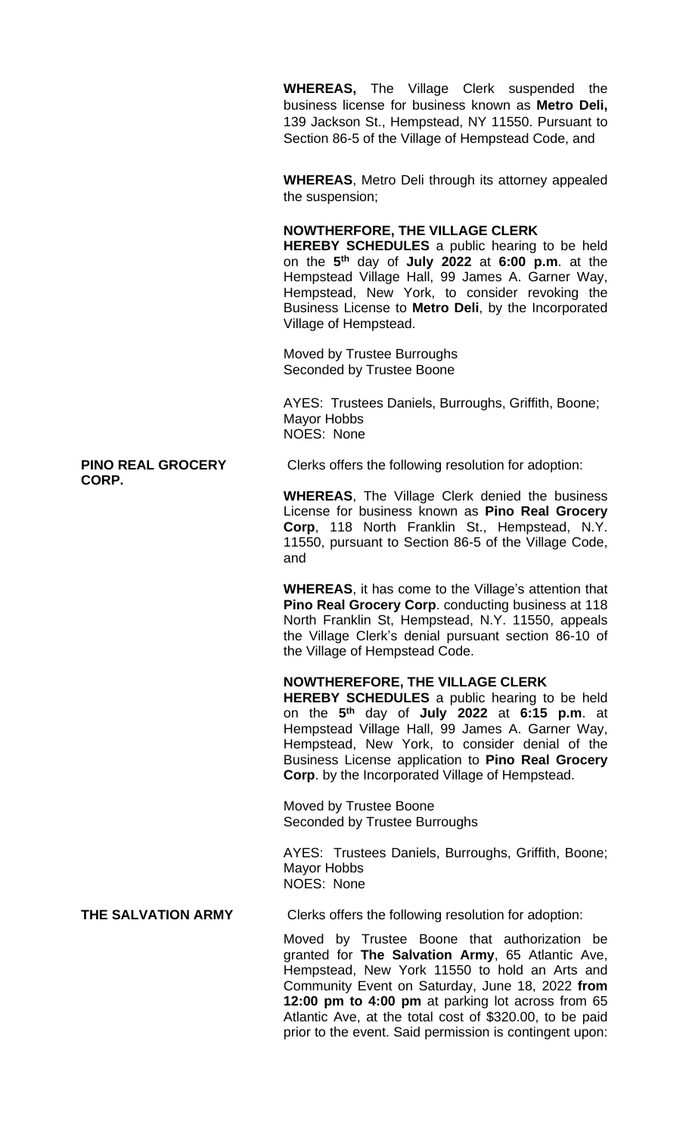**WHEREAS,** The Village Clerk suspended the business license for business known as **Metro Deli,** 139 Jackson St., Hempstead, NY 11550. Pursuant to Section 86-5 of the Village of Hempstead Code, and

**WHEREAS**, Metro Deli through its attorney appealed the suspension;

#### **NOWTHERFORE, THE VILLAGE CLERK**

**HEREBY SCHEDULES** a public hearing to be held on the **5 th** day of **July 2022** at **6:00 p.m**. at the Hempstead Village Hall, 99 James A. Garner Way, Hempstead, New York, to consider revoking the Business License to **Metro Deli**, by the Incorporated Village of Hempstead.

Moved by Trustee Burroughs Seconded by Trustee Boone

AYES: Trustees Daniels, Burroughs, Griffith, Boone; Mayor Hobbs NOES: None

**PINO REAL GROCERY** Clerks offers the following resolution for adoption:

**WHEREAS**, The Village Clerk denied the business License for business known as **Pino Real Grocery Corp**, 118 North Franklin St., Hempstead, N.Y. 11550, pursuant to Section 86-5 of the Village Code, and

**WHEREAS**, it has come to the Village's attention that **Pino Real Grocery Corp**. conducting business at 118 North Franklin St, Hempstead, N.Y. 11550, appeals the Village Clerk's denial pursuant section 86-10 of the Village of Hempstead Code.

## **NOWTHEREFORE, THE VILLAGE CLERK**

**HEREBY SCHEDULES** a public hearing to be held on the **5 th** day of **July 2022** at **6:15 p.m**. at Hempstead Village Hall, 99 James A. Garner Way, Hempstead, New York, to consider denial of the Business License application to **Pino Real Grocery Corp**. by the Incorporated Village of Hempstead.

Moved by Trustee Boone Seconded by Trustee Burroughs

AYES: Trustees Daniels, Burroughs, Griffith, Boone; Mayor Hobbs NOES: None

**THE SALVATION ARMY** Clerks offers the following resolution for adoption:

Moved by Trustee Boone that authorization be granted for **The Salvation Army**, 65 Atlantic Ave, Hempstead, New York 11550 to hold an Arts and Community Event on Saturday, June 18, 2022 **from 12:00 pm to 4:00 pm** at parking lot across from 65 Atlantic Ave, at the total cost of \$320.00, to be paid prior to the event. Said permission is contingent upon:

**CORP.**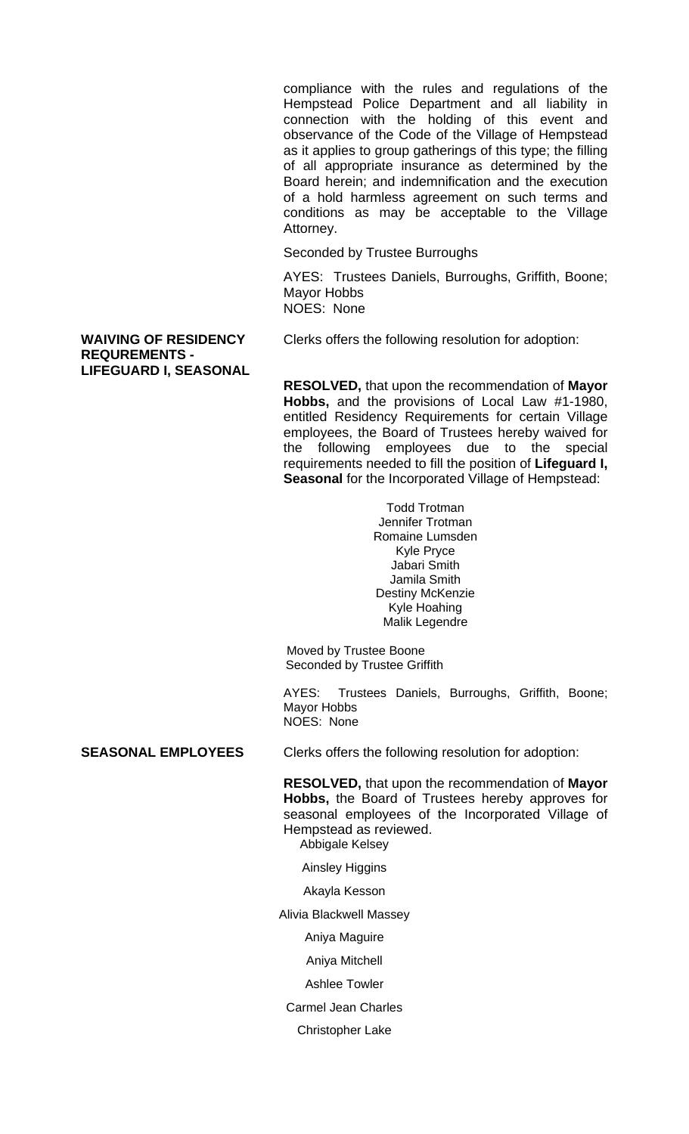compliance with the rules and regulations of the Hempstead Police Department and all liability in connection with the holding of this event and observance of the Code of the Village of Hempstead as it applies to group gatherings of this type; the filling of all appropriate insurance as determined by the Board herein; and indemnification and the execution of a hold harmless agreement on such terms and conditions as may be acceptable to the Village Attorney.

Seconded by Trustee Burroughs

AYES: Trustees Daniels, Burroughs, Griffith, Boone; Mayor Hobbs NOES: None

**REQUREMENTS - LIFEGUARD I, SEASONAL**

**WAIVING OF RESIDENCY** Clerks offers the following resolution for adoption:

**RESOLVED,** that upon the recommendation of **Mayor Hobbs,** and the provisions of Local Law #1-1980, entitled Residency Requirements for certain Village employees, the Board of Trustees hereby waived for the following employees due to the special requirements needed to fill the position of **Lifeguard I, Seasonal** for the Incorporated Village of Hempstead:

> Todd Trotman Jennifer Trotman Romaine Lumsden Kyle Pryce Jabari Smith Jamila Smith Destiny McKenzie Kyle Hoahing Malik Legendre

 Moved by Trustee Boone Seconded by Trustee Griffith

AYES: Trustees Daniels, Burroughs, Griffith, Boone; Mayor Hobbs NOES: None

**SEASONAL EMPLOYEES** Clerks offers the following resolution for adoption:

**RESOLVED,** that upon the recommendation of **Mayor Hobbs,** the Board of Trustees hereby approves for seasonal employees of the Incorporated Village of Hempstead as reviewed.

Abbigale Kelsey

Ainsley Higgins

Akayla Kesson

Alivia Blackwell Massey

Aniya Maguire

Aniya Mitchell

Ashlee Towler

Carmel Jean Charles

Christopher Lake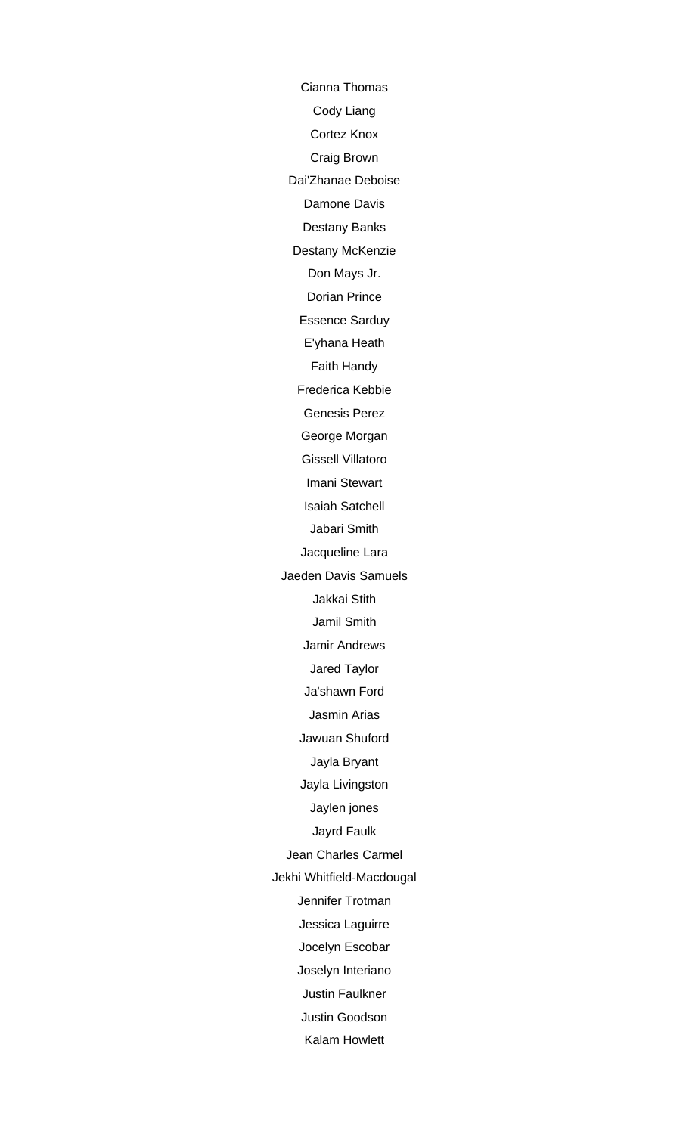Cianna Thomas Cody Liang Cortez Knox Craig Brown Dai'Zhanae Deboise Damone Davis Destany Banks Destany McKenzie Don Mays Jr. Dorian Prince Essence Sarduy E'yhana Heath Faith Handy Frederica Kebbie Genesis Perez George Morgan Gissell Villatoro Imani Stewart Isaiah Satchell Jabari Smith Jacqueline Lara Jaeden Davis Samuels Jakkai Stith Jamil Smith Jamir Andrews Jared Taylor Ja'shawn Ford Jasmin Arias Jawuan Shuford Jayla Bryant Jayla Livingston Jaylen jones Jayrd Faulk Jean Charles Carmel Jekhi Whitfield-Macdougal Jennifer Trotman Jessica Laguirre Jocelyn Escobar Joselyn Interiano Justin Faulkner Justin Goodson Kalam Howlett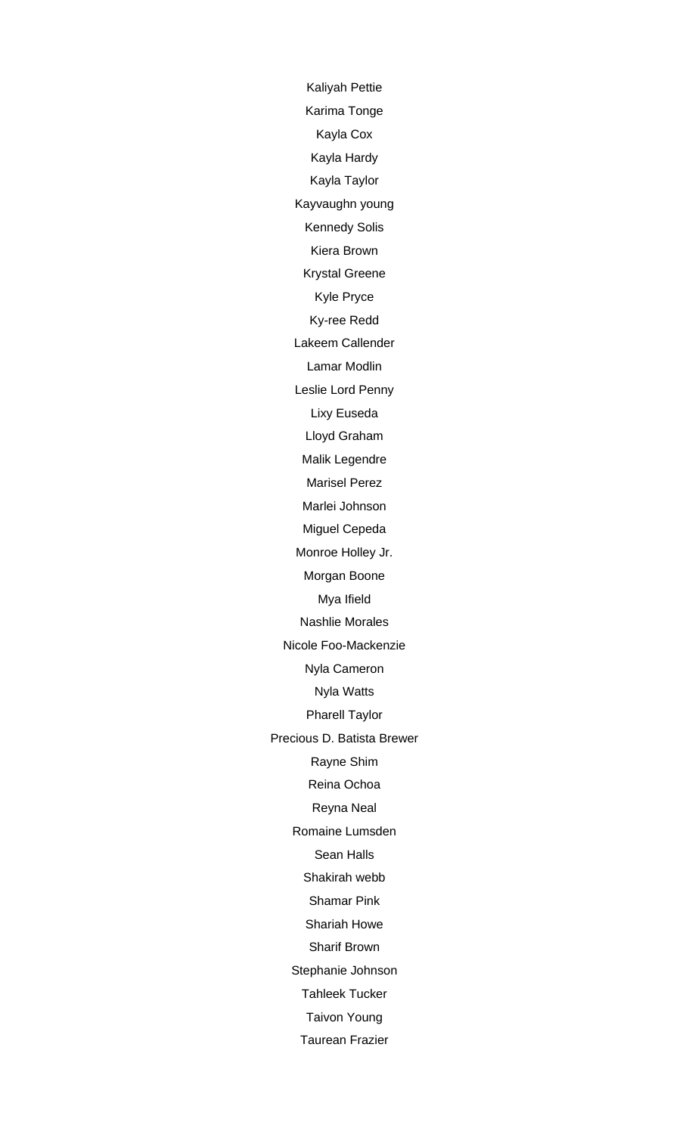Kaliyah Pettie Karima Tonge Kayla Cox Kayla Hardy Kayla Taylor Kayvaughn young Kennedy Solis Kiera Brown Krystal Greene Kyle Pryce Ky-ree Redd Lakeem Callender Lamar Modlin Leslie Lord Penny Lixy Euseda Lloyd Graham Malik Legendre Marisel Perez Marlei Johnson Miguel Cepeda Monroe Holley Jr. Morgan Boone Mya Ifield Nashlie Morales Nicole Foo-Mackenzie Nyla Cameron Nyla Watts Pharell Taylor Precious D. Batista Brewer Rayne Shim Reina Ochoa Reyna Neal Romaine Lumsden Sean Halls Shakirah webb Shamar Pink Shariah Howe Sharif Brown Stephanie Johnson Tahleek Tucker Taivon Young Taurean Frazier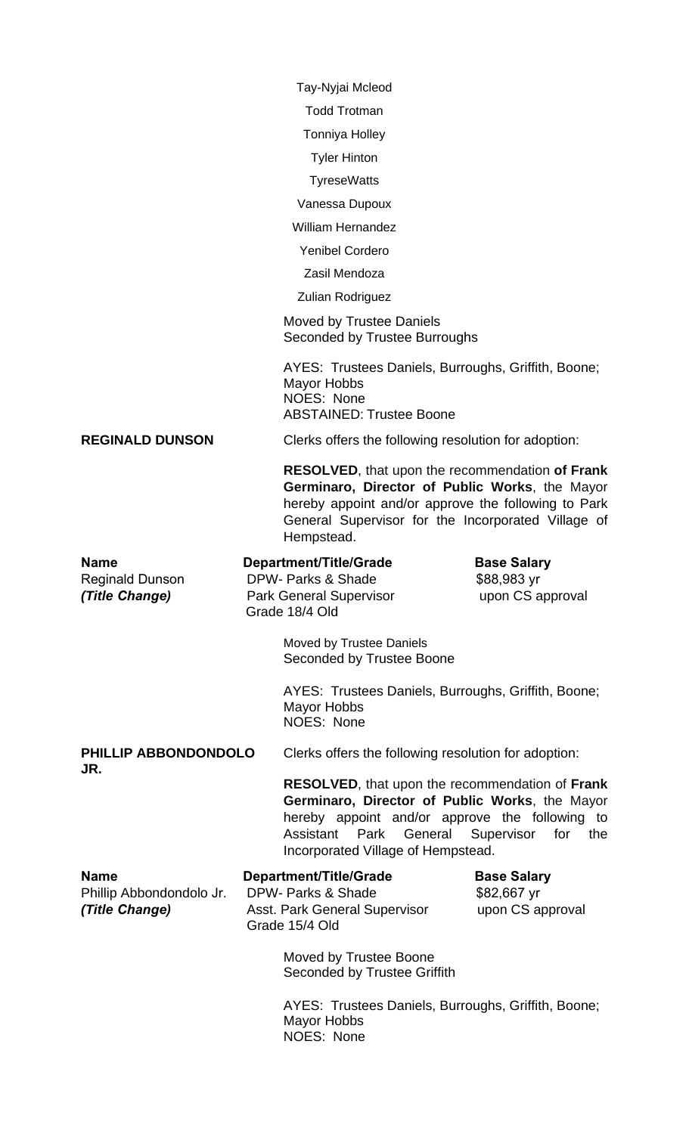Tay-Nyjai Mcleod Todd Trotman Tonniya Holley Tyler Hinton **TyreseWatts** Vanessa Dupoux William Hernandez Yenibel Cordero Zasil Mendoza Zulian Rodriguez Moved by Trustee Daniels Seconded by Trustee Burroughs AYES: Trustees Daniels, Burroughs, Griffith, Boone; Mayor Hobbs NOES: None ABSTAINED: Trustee Boone **REGINALD DUNSON** Clerks offers the following resolution for adoption: **RESOLVED**, that upon the recommendation **of Frank Germinaro, Director of Public Works**, the Mayor hereby appoint and/or approve the following to Park General Supervisor for the Incorporated Village of Hempstead. **Name Construction Department/Title/Grade Base Salary** Reginald Dunson DPW- Parks & Shade \$88,983 yr *(Title Change)* Park General Supervisor upon CS approval Grade 18/4 Old Moved by Trustee Daniels Seconded by Trustee Boone AYES: Trustees Daniels, Burroughs, Griffith, Boone; Mayor Hobbs NOES: None **PHILLIP ABBONDONDOLO** Clerks offers the following resolution for adoption: **JR. RESOLVED**, that upon the recommendation of **Frank Germinaro, Director of Public Works**, the Mayor hereby appoint and/or approve the following to Assistant Park General Supervisor for the Incorporated Village of Hempstead. **Name Construction Department/Title/Grade Base Salary** Phillip Abbondondolo Jr. DPW- Parks & Shade \$82,667 yr *(Title Change)* **Asst. Park General Supervisor** upon CS approval Grade 15/4 Old

> **Moved by Trustee Boone** Seconded by Trustee Griffith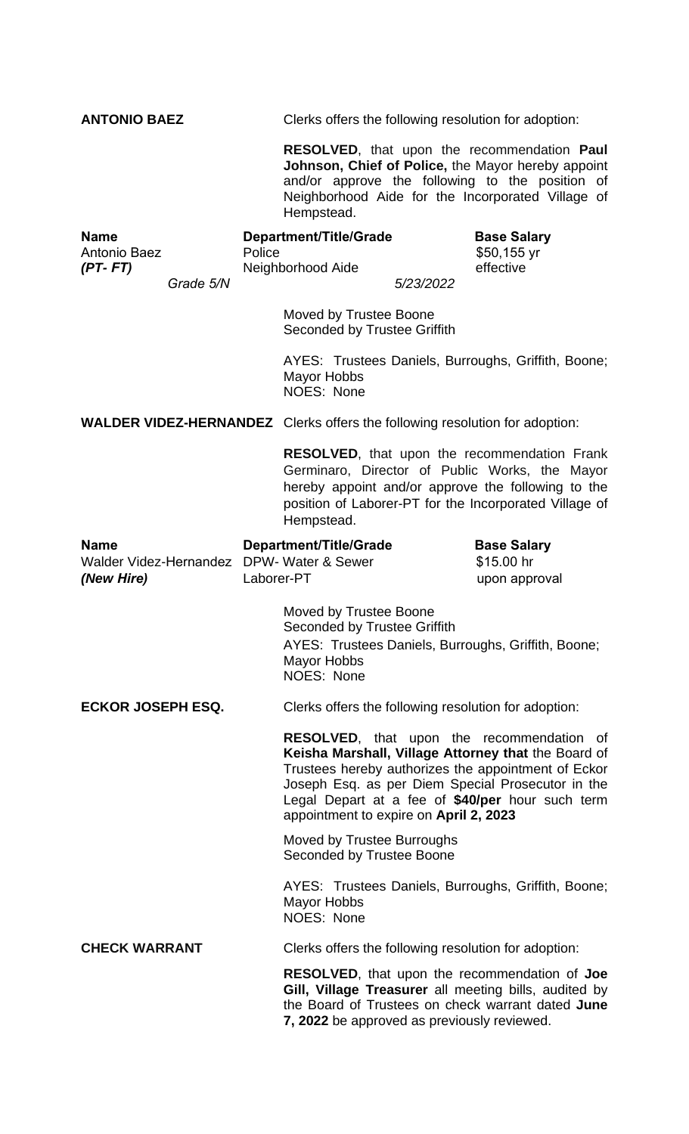| <b>ANTONIO BAEZ</b>                                 |            | Clerks offers the following resolution for adoption:                                                                                                                                                                                                                                                              |           |                                                                                                                                                                                                                       |  |
|-----------------------------------------------------|------------|-------------------------------------------------------------------------------------------------------------------------------------------------------------------------------------------------------------------------------------------------------------------------------------------------------------------|-----------|-----------------------------------------------------------------------------------------------------------------------------------------------------------------------------------------------------------------------|--|
|                                                     |            | Hempstead.                                                                                                                                                                                                                                                                                                        |           | RESOLVED, that upon the recommendation Paul<br>Johnson, Chief of Police, the Mayor hereby appoint<br>and/or approve the following to the position of<br>Neighborhood Aide for the Incorporated Village of             |  |
| Name<br>Antonio Baez<br>$(PT-FT)$<br>Grade 5/N      | Police     | <b>Department/Title/Grade</b><br>Neighborhood Aide                                                                                                                                                                                                                                                                | 5/23/2022 | <b>Base Salary</b><br>\$50,155 yr<br>effective                                                                                                                                                                        |  |
|                                                     |            | Moved by Trustee Boone<br>Seconded by Trustee Griffith                                                                                                                                                                                                                                                            |           |                                                                                                                                                                                                                       |  |
|                                                     |            | AYES: Trustees Daniels, Burroughs, Griffith, Boone;<br>Mayor Hobbs<br><b>NOES: None</b>                                                                                                                                                                                                                           |           |                                                                                                                                                                                                                       |  |
|                                                     |            | <b>WALDER VIDEZ-HERNANDEZ</b> Clerks offers the following resolution for adoption:                                                                                                                                                                                                                                |           |                                                                                                                                                                                                                       |  |
|                                                     |            | Hempstead.                                                                                                                                                                                                                                                                                                        |           | <b>RESOLVED, that upon the recommendation Frank</b><br>Germinaro, Director of Public Works, the Mayor<br>hereby appoint and/or approve the following to the<br>position of Laborer-PT for the Incorporated Village of |  |
| <b>Name</b><br>Walder Videz-Hernandez<br>(New Hire) | Laborer-PT | <b>Department/Title/Grade</b><br>DPW- Water & Sewer                                                                                                                                                                                                                                                               |           | <b>Base Salary</b><br>\$15.00 hr<br>upon approval                                                                                                                                                                     |  |
|                                                     |            | Moved by Trustee Boone<br>Seconded by Trustee Griffith<br>Mayor Hobbs<br>NOES: None                                                                                                                                                                                                                               |           | AYES: Trustees Daniels, Burroughs, Griffith, Boone;                                                                                                                                                                   |  |
| <b>ECKOR JOSEPH ESQ.</b>                            |            | Clerks offers the following resolution for adoption:                                                                                                                                                                                                                                                              |           |                                                                                                                                                                                                                       |  |
|                                                     |            | <b>RESOLVED,</b> that upon the recommendation of<br>Keisha Marshall, Village Attorney that the Board of<br>Trustees hereby authorizes the appointment of Eckor<br>Joseph Esq. as per Diem Special Prosecutor in the<br>Legal Depart at a fee of \$40/per hour such term<br>appointment to expire on April 2, 2023 |           |                                                                                                                                                                                                                       |  |
|                                                     |            | Moved by Trustee Burroughs<br>Seconded by Trustee Boone                                                                                                                                                                                                                                                           |           |                                                                                                                                                                                                                       |  |
|                                                     |            | <b>Mayor Hobbs</b><br><b>NOES: None</b>                                                                                                                                                                                                                                                                           |           | AYES: Trustees Daniels, Burroughs, Griffith, Boone;                                                                                                                                                                   |  |
| <b>CHECK WARRANT</b>                                |            | Clerks offers the following resolution for adoption:                                                                                                                                                                                                                                                              |           |                                                                                                                                                                                                                       |  |
|                                                     |            | 7, 2022 be approved as previously reviewed.                                                                                                                                                                                                                                                                       |           | <b>RESOLVED, that upon the recommendation of Joe</b><br>Gill, Village Treasurer all meeting bills, audited by<br>the Board of Trustees on check warrant dated June                                                    |  |